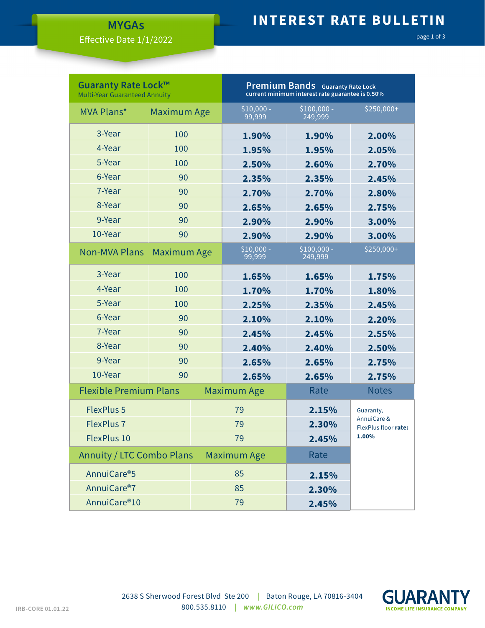| Guaranty Rate Lock™<br><b>Multi-Year Guaranteed Annuity</b> |                    | <b>Premium Bands</b> Guaranty Rate Lock<br>current minimum interest rate guarantee is 0.50% |                       |                         |                                     |
|-------------------------------------------------------------|--------------------|---------------------------------------------------------------------------------------------|-----------------------|-------------------------|-------------------------------------|
| MVA Plans*                                                  | <b>Maximum Age</b> |                                                                                             | $$10,000 -$<br>99,999 | $$100,000 -$<br>249,999 | $5250,000+$                         |
| 3-Year                                                      | 100                |                                                                                             | 1.90%                 | 1.90%                   | 2.00%                               |
| 4-Year                                                      | 100                |                                                                                             | 1.95%                 | 1.95%                   | 2.05%                               |
| 5-Year                                                      | 100                |                                                                                             | 2.50%                 | 2.60%                   | 2.70%                               |
| 6-Year                                                      | 90                 |                                                                                             | 2.35%                 | 2.35%                   | 2.45%                               |
| 7-Year                                                      | 90                 |                                                                                             | 2.70%                 | 2.70%                   | 2.80%                               |
| 8-Year                                                      | 90                 |                                                                                             | 2.65%                 | 2.65%                   | 2.75%                               |
| 9-Year                                                      | 90                 |                                                                                             | 2.90%                 | 2.90%                   | 3.00%                               |
| 10-Year                                                     | 90                 |                                                                                             | 2.90%                 | 2.90%                   | 3.00%                               |
| <b>Non-MVA Plans</b>                                        | <b>Maximum Age</b> |                                                                                             | $$10,000 -$<br>99,999 | $$100,000 -$<br>249,999 | \$250,000+                          |
| 3-Year                                                      | 100                |                                                                                             | 1.65%                 | 1.65%                   | 1.75%                               |
| 4-Year                                                      | 100                |                                                                                             | 1.70%                 | 1.70%                   | 1.80%                               |
| 5-Year                                                      | 100                |                                                                                             | 2.25%                 | 2.35%                   | 2.45%                               |
| 6-Year                                                      | 90                 |                                                                                             | 2.10%                 | 2.10%                   | 2.20%                               |
| 7-Year                                                      | 90                 |                                                                                             | 2.45%                 | 2.45%                   | 2.55%                               |
| 8-Year                                                      | 90                 |                                                                                             | 2.40%                 | 2.40%                   | 2.50%                               |
| 9-Year                                                      | 90                 |                                                                                             | 2.65%                 | 2.65%                   | 2.75%                               |
| 10-Year                                                     | 90                 |                                                                                             | 2.65%                 | 2.65%                   | 2.75%                               |
| <b>Flexible Premium Plans</b>                               |                    |                                                                                             | <b>Maximum Age</b>    | Rate                    | <b>Notes</b>                        |
| <b>FlexPlus 5</b>                                           |                    |                                                                                             | 79                    | 2.15%                   | Guaranty,                           |
| <b>FlexPlus 7</b>                                           |                    |                                                                                             | 79                    | 2.30%                   | AnnuiCare &<br>FlexPlus floor rate: |
| FlexPlus 10                                                 |                    | 79                                                                                          | 2.45%                 | 1.00%                   |                                     |
| Annuity / LTC Combo Plans                                   |                    |                                                                                             | <b>Maximum Age</b>    | Rate                    |                                     |
| AnnuiCare®5                                                 |                    | 85                                                                                          |                       | 2.15%                   |                                     |
| AnnuiCare <sup>®</sup> 7                                    |                    | 85                                                                                          |                       | 2.30%                   |                                     |
| AnnuiCare®10                                                |                    | 79                                                                                          |                       | 2.45%                   |                                     |

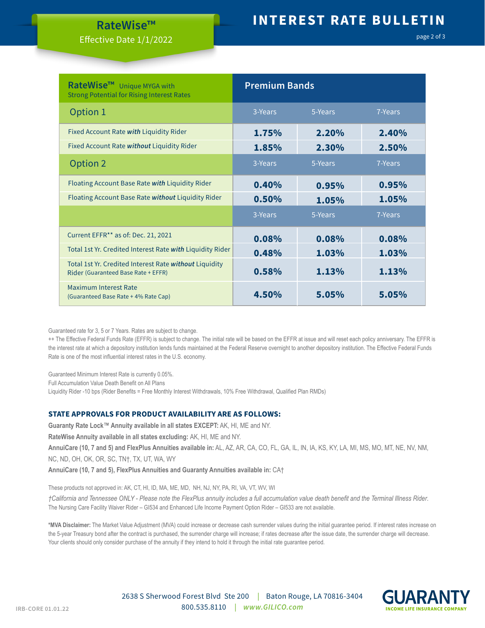| RateWise™ Unique MYGA with<br><b>Strong Potential for Rising Interest Rates</b>               | <b>Premium Bands</b> |         |         |
|-----------------------------------------------------------------------------------------------|----------------------|---------|---------|
| Option 1                                                                                      | 3-Years              | 5-Years | 7-Years |
| Fixed Account Rate with Liquidity Rider                                                       | 1.75%                | 2.20%   | 2.40%   |
| Fixed Account Rate without Liquidity Rider                                                    | 1.85%                | 2.30%   | 2.50%   |
| Option 2                                                                                      | 3-Years              | 5-Years | 7-Years |
| Floating Account Base Rate with Liquidity Rider                                               | 0.40%                | 0.95%   | 0.95%   |
| Floating Account Base Rate without Liquidity Rider                                            | 0.50%                | 1.05%   | 1.05%   |
|                                                                                               | 3-Years              | 5-Years | 7-Years |
| Current EFFR** as of: Dec. 21, 2021                                                           | 0.08%                | 0.08%   | 0.08%   |
| Total 1st Yr. Credited Interest Rate with Liquidity Rider                                     | 0.48%                | 1.03%   | 1.03%   |
| Total 1st Yr. Credited Interest Rate without Liquidity<br>Rider (Guaranteed Base Rate + EFFR) | 0.58%                | 1.13%   | 1.13%   |
| Maximum Interest Rate<br>(Guaranteed Base Rate + 4% Rate Cap)                                 | 4.50%                | 5.05%   | 5.05%   |

Guaranteed rate for 3, 5 or 7 Years. Rates are subject to change.

++ The Effective Federal Funds Rate (EFFR) is subject to change. The initial rate will be based on the EFFR at issue and will reset each policy anniversary. The EFFR is the interest rate at which a depository institution lends funds maintained at the Federal Reserve overnight to another depository institution. The Effective Federal Funds Rate is one of the most influential interest rates in the U.S. economy.

Guaranteed Minimum Interest Rate is currently 0.05%.

Full Accumulation Value Death Benefit on All Plans

Liquidity Rider -10 bps (Rider Benefits = Free Monthly Interest Withdrawals, 10% Free Withdrawal, Qualified Plan RMDs)

#### **STATE APPROVALS FOR PRODUCT AVAILABILITY ARE AS FOLLOWS:**

**Guaranty Rate Lock™ Annuity available in all states EXCEPT:** AK, HI, ME and NY.

**RateWise Annuity available in all states excluding:** AK, HI, ME and NY.

**AnnuiCare (10, 7 and 5) and FlexPlus Annuities available in:** AL, AZ, AR, CA, CO, FL, GA, IL, IN, IA, KS, KY, LA, MI, MS, MO, MT, NE, NV, NM,

NC, ND, OH, OK, OR, SC, TN†, TX, UT, WA, WY

**AnnuiCare (10, 7 and 5), FlexPlus Annuities and Guaranty Annuities available in:** CA†

These products not approved in: AK, CT, HI, ID, MA, ME, MD, NH, NJ, NY, PA, RI, VA, VT, WV, WI

*†California and Tennessee ONLY - Please note the FlexPlus annuity includes a full accumulation value death benefit and the Terminal Illness Rider*. The Nursing Care Facility Waiver Rider – GI534 and Enhanced Life Income Payment Option Rider – GI533 are not available.

**\*MVA Disclaimer:** The Market Value Adjustment (MVA) could increase or decrease cash surrender values during the initial guarantee period. If interest rates increase on the 5-year Treasury bond after the contract is purchased, the surrender charge will increase; if rates decrease after the issue date, the surrender charge will decrease. Your clients should only consider purchase of the annuity if they intend to hold it through the initial rate guarantee period.

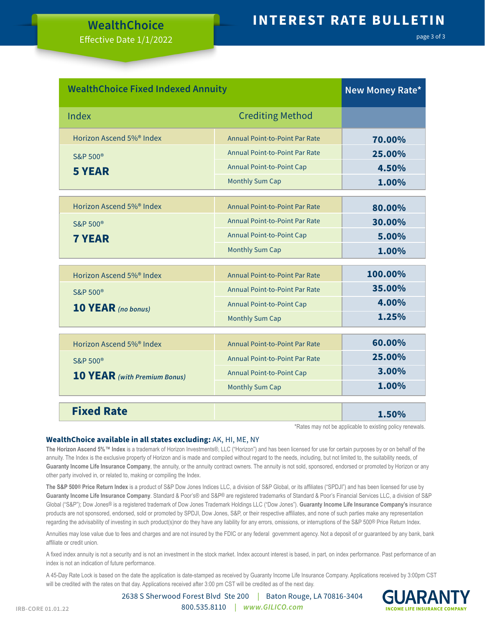### Effective Date  $1/1/2022$

# **WealthChoice INTEREST RATE BULLETIN**<br> **INTEREST RATE BULLETIN**

| <b>WealthChoice Fixed Indexed Annuity</b> | New Money Rate*                       |         |
|-------------------------------------------|---------------------------------------|---------|
| Index                                     | <b>Crediting Method</b>               |         |
| Horizon Ascend 5% <sup>®</sup> Index      | Annual Point-to-Point Par Rate        | 70.00%  |
| <b>S&amp;P 500®</b>                       | Annual Point-to-Point Par Rate        | 25.00%  |
| <b>5 YEAR</b>                             | <b>Annual Point-to-Point Cap</b>      | 4.50%   |
|                                           | <b>Monthly Sum Cap</b>                | 1.00%   |
| Horizon Ascend 5% <sup>®</sup> Index      | Annual Point-to-Point Par Rate        | 80.00%  |
| S&P 500 <sup>®</sup>                      | <b>Annual Point-to-Point Par Rate</b> | 30.00%  |
| <b>7 YEAR</b>                             | <b>Annual Point-to-Point Cap</b>      | 5.00%   |
|                                           | <b>Monthly Sum Cap</b>                | 1.00%   |
| Horizon Ascend 5% <sup>®</sup> Index      | Annual Point-to-Point Par Rate        | 100.00% |
|                                           | Annual Point-to-Point Par Rate        | 35.00%  |
| <b>S&amp;P 500®</b>                       | Annual Point-to-Point Cap             | 4.00%   |
| 10 YEAR (no bonus)                        | <b>Monthly Sum Cap</b>                | 1.25%   |
|                                           |                                       |         |
| Horizon Ascend 5% <sup>®</sup> Index      | Annual Point-to-Point Par Rate        | 60.00%  |
| S&P 500 <sup>®</sup>                      | <b>Annual Point-to-Point Par Rate</b> | 25.00%  |
| <b>10 YEAR</b> (with Premium Bonus)       | <b>Annual Point-to-Point Cap</b>      | 3.00%   |
|                                           | <b>Monthly Sum Cap</b>                | 1.00%   |
| <b>Fixed Rate</b>                         |                                       | 1.50%   |
|                                           |                                       |         |

\*Rates may not be applicable to existing policy renewals.

#### **WealthChoice available in all states excluding:** AK, HI, ME, NY

**The Horizon Ascend 5%™ Index** is a trademark of Horizon Investments®, LLC ("Horizon") and has been licensed for use for certain purposes by or on behalf of the annuity. The Index is the exclusive property of Horizon and is made and compiled without regard to the needs, including, but not limited to, the suitability needs, of Guaranty Income Life Insurance Company, the annuity, or the annuity contract owners. The annuity is not sold, sponsored, endorsed or promoted by Horizon or any other party involved in, or related to, making or compiling the Index.

**The S&P 500® Price Return Index** is a product of S&P Dow Jones Indices LLC, a division of S&P Global, or its affiliates ("SPDJI") and has been licensed for use by **Guaranty Income Life Insurance Company**. Standard & Poor's® and S&P® are registered trademarks of Standard & Poor's Financial Services LLC, a division of S&P Global ("S&P"); Dow Jones® is a registered trademark of Dow Jones Trademark Holdings LLC ("Dow Jones"). **Guaranty Income Life Insurance Company's** insurance products are not sponsored, endorsed, sold or promoted by SPDJI, Dow Jones, S&P, or their respective affiliates, and none of such parties make any representation regarding the advisability of investing in such product(s)nor do they have any liability for any errors, omissions, or interruptions of the S&P 500® Price Return Index.

Annuities may lose value due to fees and charges and are not insured by the FDIC or any federal government agency. Not a deposit of or guaranteed by any bank, bank affiliate or credit union.

A fixed index annuity is not a security and is not an investment in the stock market. Index account interest is based, in part, on index performance. Past performance of an index is not an indication of future performance.

A 45-Day Rate Lock is based on the date the application is date-stamped as received by Guaranty Income Life Insurance Company. Applications received by 3:00pm CST will be credited with the rates on that day. Applications received after 3:00 pm CST will be credited as of the next day.



2638 S Sherwood Forest Blvd Ste 200 **|** Baton Rouge, LA 70816-3404 800.535.8110 **|** *www.GILICO.com*